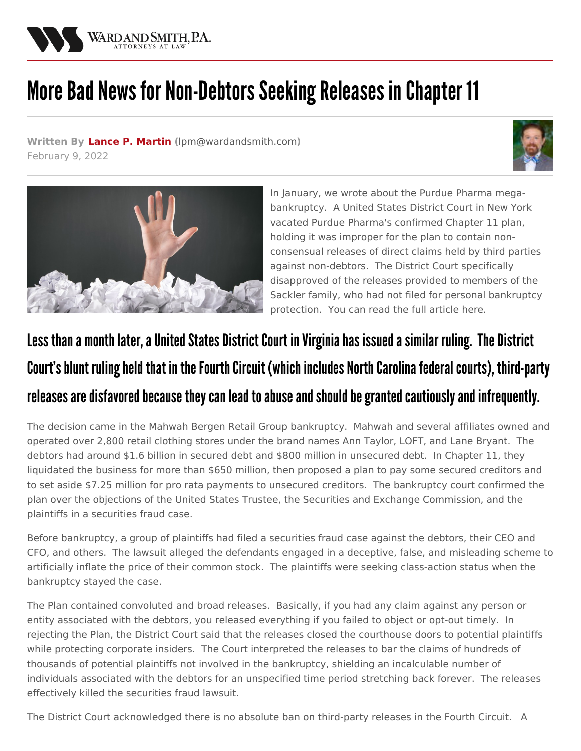

## More Bad News for Non-Debtors Seeking Releases in Chapter 11

**Written By Lance P. [Martin](/attorneys/lance-martin) (**[lpm@wardandsmith.com](mailto:lpm@wardandsmith.com)**)** February 9, 2022





In January, we wrote about the Purdue Pharma megabankruptcy. A United States District Court in New York vacated Purdue Pharma's confirmed Chapter 11 plan, holding it was improper for the plan to contain nonconsensual releases of direct claims held by third parties against non-debtors. The District Court specifically disapproved of the releases provided to members of the Sackler family, who had not filed for personal bankruptcy protection. You can read the full [article](/articles/who-gets-released-in-chapter-11) here.

## Less than a month later, a United States District Court in Virginia has issued a similar ruling. The District Court's blunt ruling held that in the Fourth Circuit (which includes North Carolina federal courts), third-party releases are disfavored because they can lead to abuse and should be granted cautiously and infrequently.

The decision came in the Mahwah Bergen Retail Group bankruptcy. Mahwah and several affiliates owned and operated over 2,800 retail clothing stores under the brand names Ann Taylor, LOFT, and Lane Bryant. The debtors had around \$1.6 billion in secured debt and \$800 million in unsecured debt. In Chapter 11, they liquidated the business for more than \$650 million, then proposed a plan to pay some secured creditors and to set aside \$7.25 million for pro rata payments to unsecured creditors. The bankruptcy court confirmed the plan over the objections of the United States Trustee, the Securities and Exchange Commission, and the plaintiffs in a securities fraud case.

Before bankruptcy, a group of plaintiffs had filed a securities fraud case against the debtors, their CEO and CFO, and others. The lawsuit alleged the defendants engaged in a deceptive, false, and misleading scheme to artificially inflate the price of their common stock. The plaintiffs were seeking class-action status when the bankruptcy stayed the case.

The Plan contained convoluted and broad releases. Basically, if you had any claim against any person or entity associated with the debtors, you released everything if you failed to object or opt-out timely. In rejecting the Plan, the District Court said that the releases closed the courthouse doors to potential plaintiffs while protecting corporate insiders. The Court interpreted the releases to bar the claims of hundreds of thousands of potential plaintiffs not involved in the bankruptcy, shielding an incalculable number of individuals associated with the debtors for an unspecified time period stretching back forever. The releases effectively killed the securities fraud lawsuit.

The District Court acknowledged there is no absolute ban on third-party releases in the Fourth Circuit. A